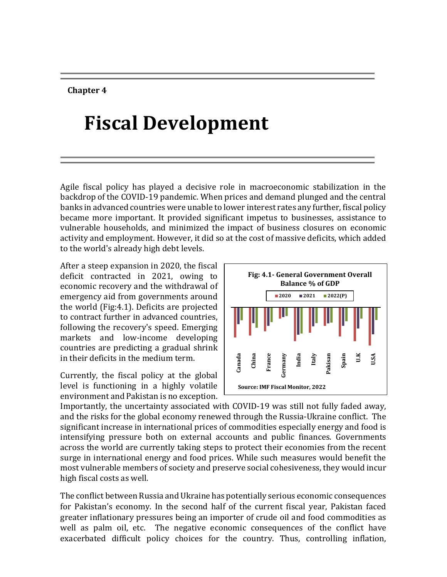#### **Chapter 4**

# **Fiscal Development**

Agile fiscal policy has played a decisive role in macroeconomic stabilization in the backdrop of the COVID-19 pandemic. When prices and demand plunged and the central banks in advanced countries were unable to lower interest rates any further, fiscal policy became more important. It provided significant impetus to businesses, assistance to vulnerable households, and minimized the impact of business closures on economic activity and employment. However, it did so at the cost of massive deficits, which added to the world's already high debt levels.

After a steep expansion in 2020, the fiscal deficit contracted in 2021, owing to economic recovery and the withdrawal of emergency aid from governments around the world (Fig:4.1). Deficits are projected to contract further in advanced countries, following the recovery's speed. Emerging markets and low-income developing countries are predicting a gradual shrink in their deficits in the medium term.

Currently, the fiscal policy at the global level is functioning in a highly volatile environment and Pakistan is no exception.



Importantly, the uncertainty associated with COVID-19 was still not fully faded away, and the risks for the global economy renewed through the Russia-Ukraine conflict. The significant increase in international prices of commodities especially energy and food is intensifying pressure both on external accounts and public finances. Governments across the world are currently taking steps to protect their economies from the recent surge in international energy and food prices. While such measures would benefit the most vulnerable members of society and preserve social cohesiveness, they would incur high fiscal costs as well.

The conflict between Russia and Ukraine has potentially serious economic consequences for Pakistan's economy. In the second half of the current fiscal year, Pakistan faced greater inflationary pressures being an importer of crude oil and food commodities as well as palm oil, etc. The negative economic consequences of the conflict have exacerbated difficult policy choices for the country. Thus, controlling inflation,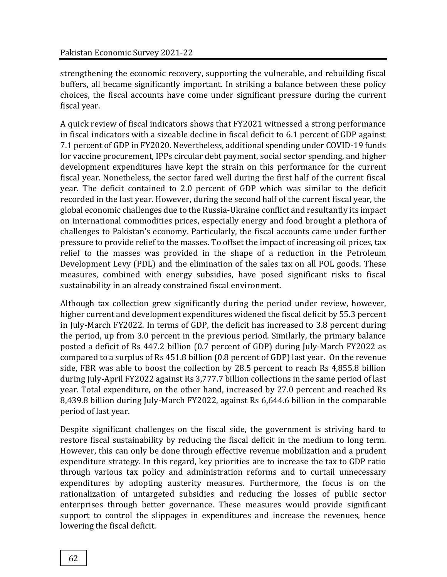strengthening the economic recovery, supporting the vulnerable, and rebuilding fiscal buffers, all became significantly important. In striking a balance between these policy choices, the fiscal accounts have come under significant pressure during the current fiscal year.

A quick review of fiscal indicators shows that FY2021 witnessed a strong performance in fiscal indicators with a sizeable decline in fiscal deficit to 6.1 percent of GDP against 7.1 percent of GDP in FY2020. Nevertheless, additional spending under COVID-19 funds for vaccine procurement, IPPs circular debt payment, social sector spending, and higher development expenditures have kept the strain on this performance for the current fiscal year. Nonetheless, the sector fared well during the first half of the current fiscal year. The deficit contained to 2.0 percent of GDP which was similar to the deficit recorded in the last year. However, during the second half of the current fiscal year, the global economic challenges due to the Russia-Ukraine conflict and resultantly its impact on international commodities prices, especially energy and food brought a plethora of challenges to Pakistan's economy. Particularly, the fiscal accounts came under further pressure to provide relief to the masses. To offset the impact of increasing oil prices, tax relief to the masses was provided in the shape of a reduction in the Petroleum Development Levy (PDL) and the elimination of the sales tax on all POL goods. These measures, combined with energy subsidies, have posed significant risks to fiscal sustainability in an already constrained fiscal environment.

Although tax collection grew significantly during the period under review, however, higher current and development expenditures widened the fiscal deficit by 55.3 percent in July-March FY2022. In terms of GDP, the deficit has increased to 3.8 percent during the period, up from 3.0 percent in the previous period. Similarly, the primary balance posted a deficit of Rs 447.2 billion (0.7 percent of GDP) during July-March FY2022 as compared to a surplus of Rs 451.8 billion (0.8 percent of GDP) last year. On the revenue side, FBR was able to boost the collection by 28.5 percent to reach Rs 4,855.8 billion during July-April FY2022 against Rs 3,777.7 billion collections in the same period of last year. Total expenditure, on the other hand, increased by 27.0 percent and reached Rs 8,439.8 billion during July-March FY2022, against Rs 6,644.6 billion in the comparable period of last year.

Despite significant challenges on the fiscal side, the government is striving hard to restore fiscal sustainability by reducing the fiscal deficit in the medium to long term. However, this can only be done through effective revenue mobilization and a prudent expenditure strategy. In this regard, key priorities are to increase the tax to GDP ratio through various tax policy and administration reforms and to curtail unnecessary expenditures by adopting austerity measures. Furthermore, the focus is on the rationalization of untargeted subsidies and reducing the losses of public sector enterprises through better governance. These measures would provide significant support to control the slippages in expenditures and increase the revenues, hence lowering the fiscal deficit.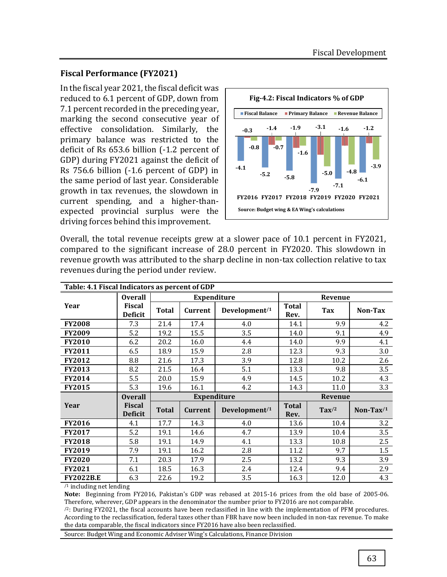### **Fiscal Performance (FY2021)**

In the fiscal year 2021, the fiscal deficit was reduced to 6.1 percent of GDP, down from 7.1 percent recorded in the preceding year, marking the second consecutive year of effective consolidation. Similarly, the primary balance was restricted to the deficit of Rs 653.6 billion (-1.2 percent of GDP) during FY2021 against the deficit of Rs 756.6 billion (-1.6 percent of GDP) in the same period of last year. Considerable growth in tax revenues, the slowdown in current spending, and a higher-thanexpected provincial surplus were the driving forces behind this improvement.



Overall, the total revenue receipts grew at a slower pace of 10.1 percent in FY2021, compared to the significant increase of 28.0 percent in FY2020. This slowdown in revenue growth was attributed to the sharp decline in non-tax collection relative to tax revenues during the period under review.

| Table: 4.1 Fiscal Indicators as percent of GDP  |                                 |                         |                    |                    |                      |                 |              |  |  |
|-------------------------------------------------|---------------------------------|-------------------------|--------------------|--------------------|----------------------|-----------------|--------------|--|--|
|                                                 | <b>Overall</b>                  |                         |                    | <b>Expenditure</b> | Revenue              |                 |              |  |  |
| Year                                            | <b>Fiscal</b><br><b>Deficit</b> | <b>Total</b><br>Current |                    | Development/1      | <b>Total</b><br>Rev. | Tax             | Non-Tax      |  |  |
| <b>FY2008</b>                                   | 7.3                             | 21.4                    | 17.4               | 4.0                | 14.1                 | 9.9             | 4.2          |  |  |
| <b>FY2009</b>                                   | 5.2                             | 19.2                    | 15.5               | 3.5                | 14.0                 | 9.1             | 4.9          |  |  |
| FY2010                                          | 6.2                             | 20.2                    | 16.0               | 4.4                | 14.0                 | 9.9             | 4.1          |  |  |
| FY2011                                          | 6.5                             | 18.9                    | 15.9               | 2.8                | 12.3                 | 9.3             | 3.0          |  |  |
| <b>FY2012</b>                                   | 8.8                             | 21.6                    | 17.3               | 3.9                | 12.8                 | 10.2            | 2.6          |  |  |
| <b>FY2013</b>                                   | 8.2                             | 21.5                    | 16.4               | 5.1                | 13.3                 | 9.8             | 3.5          |  |  |
| FY2014                                          | 5.5                             | 20.0                    | 15.9               | 4.9                | 14.5                 | 10.2            | 4.3          |  |  |
| <b>FY2015</b>                                   | 5.3                             | 19.6                    | 16.1               | 4.2                | 14.3                 | 11.0            | 3.3          |  |  |
|                                                 | <b>Overall</b>                  |                         | <b>Expenditure</b> |                    | Revenue              |                 |              |  |  |
| Year                                            | <b>Fiscal</b><br><b>Deficit</b> | <b>Total</b>            | <b>Current</b>     | Development/1      | <b>Total</b><br>Rev. | $\text{Tax}$ /2 | Non-Tax $/1$ |  |  |
| <b>FY2016</b>                                   | 4.1                             | 17.7                    | 14.3               | 4.0                | 13.6                 | 10.4            | 3.2          |  |  |
| <b>FY2017</b>                                   | 5.2                             | 19.1                    | 14.6               | 4.7                | 13.9                 | 10.4            | 3.5          |  |  |
| <b>FY2018</b>                                   | 5.8                             | 19.1                    | 14.9               | 4.1                | 13.3                 | 10.8            | 2.5          |  |  |
| <b>FY2019</b>                                   | 7.9                             | 19.1                    | 16.2               | 2.8                | 11.2                 | 9.7             | 1.5          |  |  |
| <b>FY2020</b>                                   | 7.1                             | 20.3                    | 17.9               | 2.5                | 13.2                 | 9.3             | 3.9          |  |  |
| <b>FY2021</b>                                   | 6.1                             | 18.5                    | 16.3               | 2.4                | 12.4                 | 9.4             | 2.9          |  |  |
| <b>FY2022B.E</b><br>$\sim$ $\sim$ $\sim$ $\sim$ | 6.3                             | 22.6                    | 19.2               | 3.5                | 16.3                 | 12.0            | 4.3          |  |  |

/1 including net lending

**Note:** Beginning from FY2016, Pakistan's GDP was rebased at 2015-16 prices from the old base of 2005-06. Therefore, wherever, GDP appears in the denominator the number prior to FY2016 are not comparable.

 $/2$ : During FY2021, the fiscal accounts have been reclassified in line with the implementation of PFM procedures. According to the reclassification, federal taxes other than FBR have now been included in non-tax revenue. To make the data comparable, the fiscal indicators since FY2016 have also been reclassified.

Source: Budget Wing and Economic Adviser Wing's Calculations, Finance Division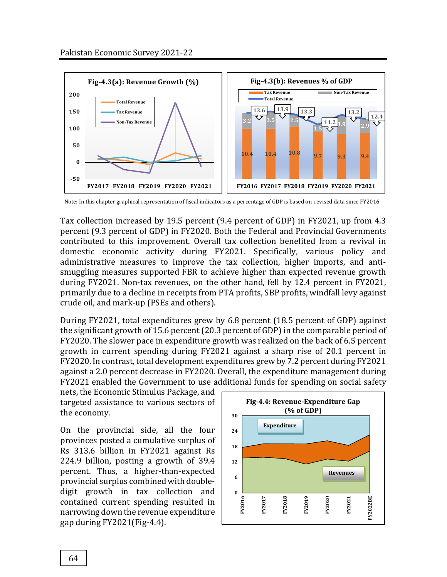

Note: In this chapter graphical representation of fiscal indicators as a percentage of GDP is based on revised data since FY2016

Tax collection increased by 19.5 percent (9.4 percent of GDP) in FY2021, up from 4.3 percent (9.3 percent of GDP) in FY2020. Both the Federal and Provincial Governments contributed to this improvement. Overall tax collection benefited from a revival in domestic economic activity during FY2021. Specifically, various policy and administrative measures to improve the tax collection, higher imports, and antismuggling measures supported FBR to achieve higher than expected revenue growth during FY2021. Non-tax revenues, on the other hand, fell by 12.4 percent in FY2021, primarily due to a decline in receipts from PTA profits, SBP profits, windfall levy against crude oil, and mark-up (PSEs and others).

During FY2021, total expenditures grew by 6.8 percent (18.5 percent of GDP) against the significant growth of 15.6 percent (20.3 percent of GDP) in the comparable period of FY2020. The slower pace in expenditure growth was realized on the back of 6.5 percent growth in current spending during FY2021 against a sharp rise of 20.1 percent in FY2020. In contrast, total development expenditures grew by 7.2 percent during FY2021 against a 2.0 percent decrease in FY2020. Overall, the expenditure management during FY2021 enabled the Government to use additional funds for spending on social safety

nets, the Economic Stimulus Package, and targeted assistance to various sectors of the economy.

On the provincial side, all the four provinces posted a cumulative surplus of Rs 313.6 billion in FY2021 against Rs 224.9 billion, posting a growth of 39.4 percent. Thus, a higher-than-expected provincial surplus combined with doubledigit growth in tax collection and contained current spending resulted in narrowing down the revenue expenditure gap during FY2021(Fig-4.4).

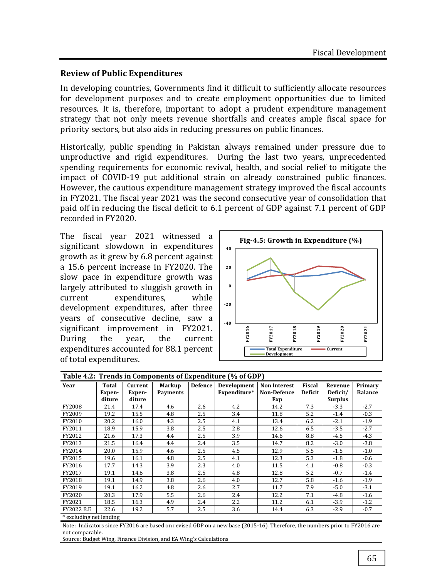#### **Review of Public Expenditures**

In developing countries, Governments find it difficult to sufficiently allocate resources for development purposes and to create employment opportunities due to limited resources. It is, therefore, important to adopt a prudent expenditure management strategy that not only meets revenue shortfalls and creates ample fiscal space for priority sectors, but also aids in reducing pressures on public finances.

Historically, public spending in Pakistan always remained under pressure due to unproductive and rigid expenditures. During the last two years, unprecedented spending requirements for economic revival, health, and social relief to mitigate the impact of COVID-19 put additional strain on already constrained public finances. However, the cautious expenditure management strategy improved the fiscal accounts in FY2021. The fiscal year 2021 was the second consecutive year of consolidation that paid off in reducing the fiscal deficit to 6.1 percent of GDP against 7.1 percent of GDP recorded in FY2020.

The fiscal year 2021 witnessed a significant slowdown in expenditures growth as it grew by 6.8 percent against a 15.6 percent increase in FY2020. The slow pace in expenditure growth was largely attributed to sluggish growth in current expenditures, while development expenditures, after three years of consecutive decline, saw a significant improvement in FY2021. During the year, the current expenditures accounted for 88.1 percent of total expenditures.



| Table 4.2: Trends in Components of Expenditure (% of GDP) |                           |                             |                           |                |                             |                                                  |                                 |                                       |                           |  |
|-----------------------------------------------------------|---------------------------|-----------------------------|---------------------------|----------------|-----------------------------|--------------------------------------------------|---------------------------------|---------------------------------------|---------------------------|--|
| Year                                                      | Total<br>Expen-<br>diture | Current<br>Expen-<br>diture | Markup<br><b>Payments</b> | <b>Defence</b> | Development<br>Expenditure* | <b>Non Interest</b><br><b>Non-Defence</b><br>Exp | <b>Fiscal</b><br><b>Deficit</b> | Revenue<br>Deficit/<br><b>Surplus</b> | Primary<br><b>Balance</b> |  |
| FY2008                                                    | 21.4                      | 17.4                        | 4.6                       | 2.6            | 4.2                         | 14.2                                             | 7.3                             | $-3.3$                                | $-2.7$                    |  |
| FY2009                                                    | 19.2                      | 15.5                        | 4.8                       | 2.5            | 3.4                         | 11.8                                             | 5.2                             | $-1.4$                                | $-0.3$                    |  |
| FY2010                                                    | 20.2                      | 16.0                        | 4.3                       | 2.5            | 4.1                         | 13.4                                             | 6.2                             | $-2.1$                                | $-1.9$                    |  |
| FY2011                                                    | 18.9                      | 15.9                        | 3.8                       | 2.5            | 2.8                         | 12.6                                             | 6.5                             | $-3.5$                                | $-2.7$                    |  |
| FY2012                                                    | 21.6                      | 17.3                        | 4.4                       | 2.5            | 3.9                         | 14.6                                             | 8.8                             | $-4.5$                                | $-4.3$                    |  |
| FY2013                                                    | 21.5                      | 16.4                        | 4.4                       | 2.4            | 3.5                         | 14.7                                             | 8.2                             | $-3.0$                                | $-3.8$                    |  |
| FY2014                                                    | 20.0                      | 15.9                        | 4.6                       | 2.5            | 4.5                         | 12.9                                             | 5.5                             | $-1.5$                                | $-1.0$                    |  |
| FY2015                                                    | 19.6                      | 16.1                        | 4.8                       | 2.5            | 4.1                         | 12.3                                             | 5.3                             | $-1.8$                                | $-0.6$                    |  |
| FY2016                                                    | 17.7                      | 14.3                        | 3.9                       | 2.3            | 4.0                         | 11.5                                             | 4.1                             | $-0.8$                                | $-0.3$                    |  |
| FY2017                                                    | 19.1                      | 14.6                        | 3.8                       | 2.5            | 4.8                         | 12.8                                             | 5.2                             | $-0.7$                                | $-1.4$                    |  |
| FY2018                                                    | 19.1                      | 14.9                        | 3.8                       | 2.6            | 4.0                         | 12.7                                             | 5.8                             | $-1.6$                                | $-1.9$                    |  |
| FY2019                                                    | 19.1                      | 16.2                        | 4.8                       | 2.6            | 2.7                         | 11.7                                             | 7.9                             | $-5.0$                                | $-3.1$                    |  |
| FY2020                                                    | 20.3                      | 17.9                        | 5.5                       | 2.6            | 2.4                         | 12.2                                             | 7.1                             | $-4.8$                                | $-1.6$                    |  |
| FY2021                                                    | 18.5                      | 16.3                        | 4.9                       | 2.4            | $2.2\,$                     | 11.2                                             | 6.1                             | $-3.9$                                | $-1.2$                    |  |
| <b>FY2022 B.E</b>                                         | 22.6                      | 19.2                        | 5.7                       | 2.5            | 3.6                         | 14.4                                             | 6.3                             | $-2.9$                                | $-0.7$                    |  |

\* excluding net lending

Note: Indicators since FY2016 are based on revised GDP on a new base (2015-16). Therefore, the numbers prior to FY2016 are not comparable.

Source: Budget Wing, Finance Division, and EA Wing's Calculations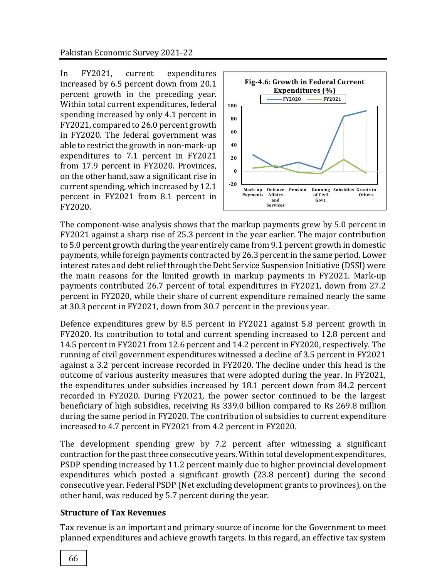In FY2021, current expenditures increased by 6.5 percent down from 20.1 percent growth in the preceding year. Within total current expenditures, federal spending increased by only 4.1 percent in FY2021, compared to 26.0 percent growth in FY2020. The federal government was able to restrict the growth in non-mark-up expenditures to 7.1 percent in FY2021 from 17.9 percent in FY2020. Provinces, on the other hand, saw a significant rise in current spending, which increased by 12.1 percent in FY2021 from 8.1 percent in FY2020.



The component-wise analysis shows that the markup payments grew by 5.0 percent in FY2021 against a sharp rise of 25.3 percent in the year earlier. The major contribution to 5.0 percent growth during the year entirely came from 9.1 percent growth in domestic payments, while foreign payments contracted by 26.3 percent in the same period. Lower interest rates and debt relief through the Debt Service Suspension Initiative (DSSI) were the main reasons for the limited growth in markup payments in FY2021. Mark-up payments contributed 26.7 percent of total expenditures in FY2021, down from 27.2 percent in FY2020, while their share of current expenditure remained nearly the same at 30.3 percent in FY2021, down from 30.7 percent in the previous year.

Defence expenditures grew by 8.5 percent in FY2021 against 5.8 percent growth in FY2020. Its contribution to total and current spending increased to 12.8 percent and 14.5 percent in FY2021 from 12.6 percent and 14.2 percent in FY2020, respectively. The running of civil government expenditures witnessed a decline of 3.5 percent in FY2021 against a 3.2 percent increase recorded in FY2020. The decline under this head is the outcome of various austerity measures that were adopted during the year. In FY2021, the expenditures under subsidies increased by 18.1 percent down from 84.2 percent recorded in FY2020. During FY2021, the power sector continued to be the largest beneficiary of high subsidies, receiving Rs 339.0 billion compared to Rs 269.8 million during the same period in FY2020. The contribution of subsidies to current expenditure increased to 4.7 percent in FY2021 from 4.2 percent in FY2020.

The development spending grew by 7.2 percent after witnessing a significant contraction for the past three consecutive years. Within total development expenditures, PSDP spending increased by 11.2 percent mainly due to higher provincial development expenditures which posted a significant growth (23.8 percent) during the second consecutive year. Federal PSDP (Net excluding development grants to provinces), on the other hand, was reduced by 5.7 percent during the year.

## **Structure of Tax Revenues**

Tax revenue is an important and primary source of income for the Government to meet planned expenditures and achieve growth targets. In this regard, an effective tax system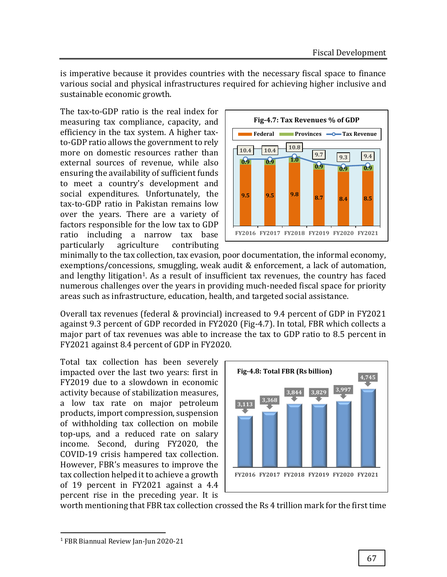is imperative because it provides countries with the necessary fiscal space to finance various social and physical infrastructures required for achieving higher inclusive and sustainable economic growth.

The tax-to-GDP ratio is the real index for measuring tax compliance, capacity, and efficiency in the tax system. A higher taxto-GDP ratio allows the government to rely more on domestic resources rather than external sources of revenue, while also ensuring the availability of sufficient funds to meet a country's development and social expenditures. Unfortunately, the tax-to-GDP ratio in Pakistan remains low over the years. There are a variety of factors responsible for the low tax to GDP ratio including a narrow tax base particularly agriculture contributing



minimally to the tax collection, tax evasion, poor documentation, the informal economy, exemptions/concessions, smuggling, weak audit & enforcement, a lack of automation, and lengthy litigation<sup>1</sup>. As a result of insufficient tax revenues, the country has faced numerous challenges over the years in providing much-needed fiscal space for priority areas such as infrastructure, education, health, and targeted social assistance.

Overall tax revenues (federal & provincial) increased to 9.4 percent of GDP in FY2021 against 9.3 percent of GDP recorded in FY2020 (Fig-4.7). In total, FBR which collects a major part of tax revenues was able to increase the tax to GDP ratio to 8.5 percent in FY2021 against 8.4 percent of GDP in FY2020.

Total tax collection has been severely impacted over the last two years: first in FY2019 due to a slowdown in economic activity because of stabilization measures, a low tax rate on major petroleum products, import compression, suspension of withholding tax collection on mobile top-ups, and a reduced rate on salary income. Second, during FY2020, the COVID-19 crisis hampered tax collection. However, FBR's measures to improve the tax collection helped it to achieve a growth of 19 percent in FY2021 against a 4.4 percent rise in the preceding year. It is



worth mentioning that FBR tax collection crossed the Rs 4 trillion mark for the first time

 $\overline{a}$ 

<sup>1</sup> FBR Biannual Review Jan-Jun 2020-21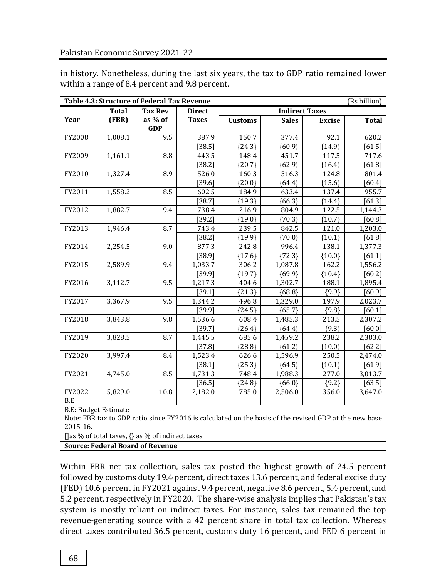in history. Nonetheless, during the last six years, the tax to GDP ratio remained lower within a range of 8.4 percent and 9.8 percent.

| Table 4.3: Structure of Federal Tax Revenue<br>(Rs billion) |              |                                                                                                       |               |                |                       |               |              |
|-------------------------------------------------------------|--------------|-------------------------------------------------------------------------------------------------------|---------------|----------------|-----------------------|---------------|--------------|
|                                                             | <b>Total</b> | <b>Tax Rev</b>                                                                                        | <b>Direct</b> |                | <b>Indirect Taxes</b> |               |              |
| Year                                                        | (FBR)        | as % of                                                                                               | <b>Taxes</b>  | <b>Customs</b> | <b>Sales</b>          | <b>Excise</b> | <b>Total</b> |
|                                                             |              | <b>GDP</b>                                                                                            |               |                |                       |               |              |
| FY2008                                                      | 1,008.1      | 9.5                                                                                                   | 387.9         | 150.7          | 377.4                 | 92.1          | 620.2        |
|                                                             |              |                                                                                                       | [38.5]        | ${24.3}$       | ${60.9}$              | ${14.9}$      | [61.5]       |
| FY2009                                                      | 1,161.1      | 8.8                                                                                                   | 443.5         | 148.4          | 451.7                 | 117.5         | 717.6        |
|                                                             |              |                                                                                                       | [38.2]        | ${20.7}$       | ${62.9}$              | ${16.4}$      | [61.8]       |
| FY2010                                                      | 1,327.4      | 8.9                                                                                                   | 526.0         | 160.3          | 516.3                 | 124.8         | 801.4        |
|                                                             |              |                                                                                                       | [39.6]        | ${20.0}$       | ${64.4}$              | ${15.6}$      | $[60.4]$     |
| FY2011                                                      | 1,558.2      | 8.5                                                                                                   | 602.5         | 184.9          | 633.4                 | 137.4         | 955.7        |
|                                                             |              |                                                                                                       | $[38.7]$      | ${19.3}$       | ${66.3}$              | ${14.4}$      | [61.3]       |
| FY2012                                                      | 1,882.7      | 9.4                                                                                                   | 738.4         | 216.9          | 804.9                 | 122.5         | 1,144.3      |
|                                                             |              |                                                                                                       | [39.2]        | ${19.0}$       | ${70.3}$              | ${10.7}$      | $[60.8]$     |
| FY2013                                                      | 1,946.4      | 8.7                                                                                                   | 743.4         | 239.5          | 842.5                 | 121.0         | 1,203.0      |
|                                                             |              |                                                                                                       | [38.2]        | ${19.9}$       | ${70.0}$              | ${10.1}$      | [61.8]       |
| FY2014                                                      | 2,254.5      | 9.0                                                                                                   | 877.3         | 242.8          | 996.4                 | 138.1         | 1,377.3      |
|                                                             |              |                                                                                                       | [38.9]        | ${17.6}$       | ${72.3}$              | ${10.0}$      | $[61.1]$     |
| FY2015                                                      | 2,589.9      | 9.4                                                                                                   | 1,033.7       | 306.2          | 1,087.8               | 162.2         | 1,556.2      |
|                                                             |              |                                                                                                       | $[39.9]$      | ${19.7}$       | ${69.9}$              | ${10.4}$      | $[60.2]$     |
| FY2016                                                      | 3,112.7      | 9.5                                                                                                   | 1,217.3       | 404.6          | 1,302.7               | 188.1         | 1,895.4      |
|                                                             |              |                                                                                                       | [39.1]        | ${21.3}$       | ${68.8}$              | ${9.9}$       | [60.9]       |
| FY2017                                                      | 3,367.9      | 9.5                                                                                                   | 1,344.2       | 496.8          | 1,329.0               | 197.9         | 2,023.7      |
|                                                             |              |                                                                                                       | [39.9]        | ${24.5}$       | ${65.7}$              | ${9.8}$       | [60.1]       |
| FY2018                                                      | 3,843.8      | 9.8                                                                                                   | 1,536.6       | 608.4          | 1,485.3               | 213.5         | 2,307.2      |
|                                                             |              |                                                                                                       | $[39.7]$      | ${26.4}$       | ${64.4}$              | ${9.3}$       | [60.0]       |
| FY2019                                                      | 3,828.5      | 8.7                                                                                                   | 1,445.5       | 685.6          | 1,459.2               | 238.2         | 2,383.0      |
|                                                             |              |                                                                                                       | $[37.8]$      | ${28.8}$       | ${61.2}$              | ${10.0}$      | $[62.2]$     |
| FY2020                                                      | 3,997.4      | 8.4                                                                                                   | 1,523.4       | 626.6          | 1,596.9               | 250.5         | 2,474.0      |
|                                                             |              |                                                                                                       | [38.1]        | ${25.3}$       | ${64.5}$              | ${10.1}$      | [61.9]       |
| FY2021                                                      | 4,745.0      | 8.5                                                                                                   | 1,731.3       | 748.4          | 1,988.3               | 277.0         | 3,013.7      |
|                                                             |              |                                                                                                       | [36.5]        | ${24.8}$       | ${66.0}$              | ${9.2}$       | $[63.5]$     |
| FY2022<br>B.E                                               | 5,829.0      | 10.8                                                                                                  | 2,182.0       | 785.0          | 2,506.0               | 356.0         | 3,647.0      |
| <b>B.E: Budget Estimate</b>                                 |              |                                                                                                       |               |                |                       |               |              |
|                                                             |              | Note: FBR tax to GDP ratio since FY2016 is calculated on the basis of the revised GDP at the new base |               |                |                       |               |              |
| 2015-16.                                                    |              |                                                                                                       |               |                |                       |               |              |

[]as % of total taxes, {} as % of indirect taxes

**Source: Federal Board of Revenue**

Within FBR net tax collection, sales tax posted the highest growth of 24.5 percent followed by customs duty 19.4 percent, direct taxes 13.6 percent, and federal excise duty (FED) 10.6 percent in FY2021 against 9.4 percent, negative 8.6 percent, 5.4 percent, and 5.2 percent, respectively in FY2020. The share-wise analysis implies that Pakistan's tax system is mostly reliant on indirect taxes. For instance, sales tax remained the top revenue-generating source with a 42 percent share in total tax collection. Whereas direct taxes contributed 36.5 percent, customs duty 16 percent, and FED 6 percent in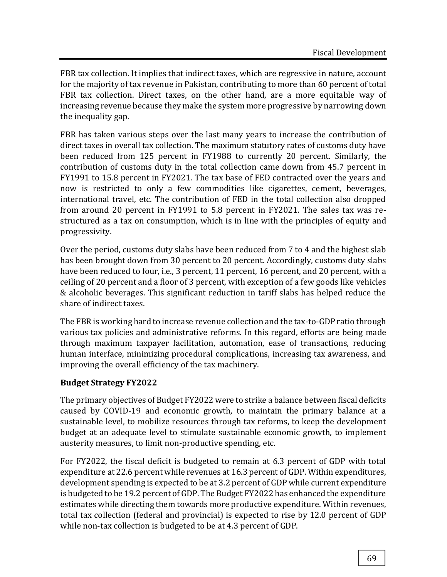FBR tax collection. It implies that indirect taxes, which are regressive in nature, account for the majority of tax revenue in Pakistan, contributing to more than 60 percent of total FBR tax collection. Direct taxes, on the other hand, are a more equitable way of increasing revenue because they make the system more progressive by narrowing down the inequality gap.

FBR has taken various steps over the last many years to increase the contribution of direct taxes in overall tax collection. The maximum statutory rates of customs duty have been reduced from 125 percent in FY1988 to currently 20 percent. Similarly, the contribution of customs duty in the total collection came down from 45.7 percent in FY1991 to 15.8 percent in FY2021. The tax base of FED contracted over the years and now is restricted to only a few commodities like cigarettes, cement, beverages, international travel, etc. The contribution of FED in the total collection also dropped from around 20 percent in FY1991 to 5.8 percent in FY2021. The sales tax was restructured as a tax on consumption, which is in line with the principles of equity and progressivity.

Over the period, customs duty slabs have been reduced from 7 to 4 and the highest slab has been brought down from 30 percent to 20 percent. Accordingly, customs duty slabs have been reduced to four, i.e., 3 percent, 11 percent, 16 percent, and 20 percent, with a ceiling of 20 percent and a floor of 3 percent, with exception of a few goods like vehicles & alcoholic beverages. This significant reduction in tariff slabs has helped reduce the share of indirect taxes.

The FBR is working hard to increase revenue collection and the tax-to-GDP ratio through various tax policies and administrative reforms. In this regard, efforts are being made through maximum taxpayer facilitation, automation, ease of transactions, reducing human interface, minimizing procedural complications, increasing tax awareness, and improving the overall efficiency of the tax machinery.

## **Budget Strategy FY2022**

The primary objectives of Budget FY2022 were to strike a balance between fiscal deficits caused by COVID-19 and economic growth, to maintain the primary balance at a sustainable level, to mobilize resources through tax reforms, to keep the development budget at an adequate level to stimulate sustainable economic growth, to implement austerity measures, to limit non-productive spending, etc.

For FY2022, the fiscal deficit is budgeted to remain at 6.3 percent of GDP with total expenditure at 22.6 percent while revenues at 16.3 percent of GDP. Within expenditures, development spending is expected to be at 3.2 percent of GDP while current expenditure is budgeted to be 19.2 percent of GDP. The Budget FY2022 has enhanced the expenditure estimates while directing them towards more productive expenditure. Within revenues, total tax collection (federal and provincial) is expected to rise by 12.0 percent of GDP while non-tax collection is budgeted to be at 4.3 percent of GDP.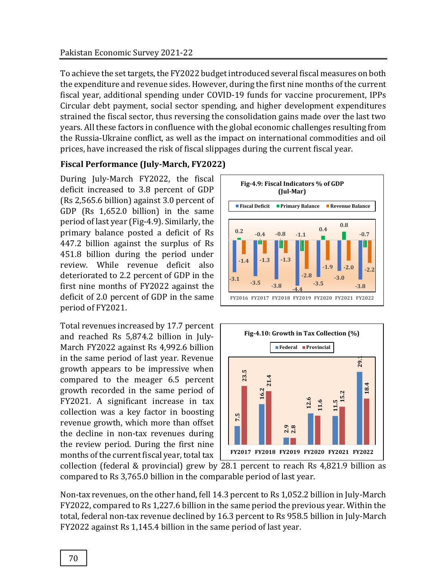To achieve the set targets, the FY2022 budget introduced several fiscal measures on both the expenditure and revenue sides. However, during the first nine months of the current fiscal year, additional spending under COVID-19 funds for vaccine procurement, IPPs Circular debt payment, social sector spending, and higher development expenditures strained the fiscal sector, thus reversing the consolidation gains made over the last two years. All these factors in confluence with the global economic challenges resulting from the Russia-Ukraine conflict, as well as the impact on international commodities and oil prices, have increased the risk of fiscal slippages during the current fiscal year.

## **Fiscal Performance (July-March, FY2022)**

During July-March FY2022, the fiscal deficit increased to 3.8 percent of GDP (Rs 2,565.6 billion) against 3.0 percent of GDP (Rs 1,652.0 billion) in the same period of last year (Fig-4.9). Similarly, the primary balance posted a deficit of Rs 447.2 billion against the surplus of Rs 451.8 billion during the period under review. While revenue deficit also deteriorated to 2.2 percent of GDP in the first nine months of FY2022 against the deficit of 2.0 percent of GDP in the same period of FY2021.

Total revenues increased by 17.7 percent and reached Rs 5,874.2 billion in July-March FY2022 against Rs 4,992.6 billion in the same period of last year. Revenue growth appears to be impressive when compared to the meager 6.5 percent growth recorded in the same period of FY2021. A significant increase in tax collection was a key factor in boosting revenue growth, which more than offset the decline in non-tax revenues during the review period. During the first nine months of the current fiscal year, total tax FY2022. A significant increase in tax<br>
collection was a key factor in boosting<br>
revenue growth, which more than offset<br>
the decline in non-tax revenues during<br>
the review period. During the first nine<br>
months of the curren





collection (federal & provincial) grew by 28.1 percent to reach Rs 4,821.9 billion as compared to Rs 3,765.0 billion in the comparable period of last year.

Non-tax revenues, on the other hand, fell 14.3 percent to Rs 1,052.2 billion in July-March FY2022, compared to Rs 1,227.6 billion in the same period the previous year. Within the total, federal non-tax revenue declined by 16.3 percent to Rs 958.5 billion in July-March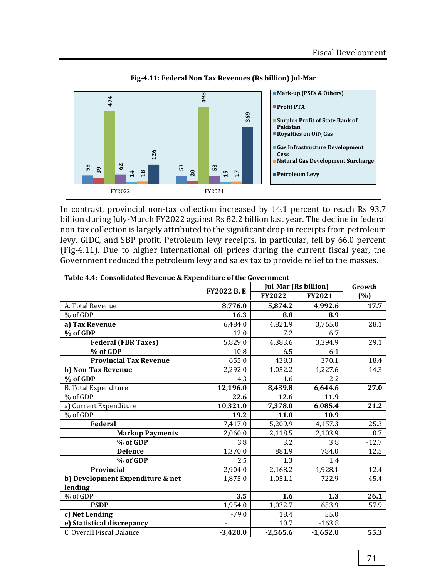

| 474<br>126<br>62<br>in<br>53<br>39<br>20<br>$\overline{18}$<br>FY2022                                                                                                                                                                                                                                                                                                                                                                                                                                                                                            | 498<br>369<br>53<br>n.<br>5<br>FY2021 |  | ■ Profit PTA<br>Pakistan<br><b>Cess</b><br>Petroleum Levy | ■ Mark-up (PSES & Uthers)<br>■ Surplus Profit of State Bank of<br>Royalties on Oil\ Gas<br>Gas Infrastructure Development<br>Natural Gas Development Surcharge |         |  |  |  |  |  |
|------------------------------------------------------------------------------------------------------------------------------------------------------------------------------------------------------------------------------------------------------------------------------------------------------------------------------------------------------------------------------------------------------------------------------------------------------------------------------------------------------------------------------------------------------------------|---------------------------------------|--|-----------------------------------------------------------|----------------------------------------------------------------------------------------------------------------------------------------------------------------|---------|--|--|--|--|--|
|                                                                                                                                                                                                                                                                                                                                                                                                                                                                                                                                                                  |                                       |  |                                                           |                                                                                                                                                                |         |  |  |  |  |  |
| In contrast, provincial non-tax collection increased by 14.1 percent to reach Rs 93.7<br>billion during July-March FY2022 against Rs 82.2 billion last year. The decline in federal<br>non-tax collection is largely attributed to the significant drop in receipts from petroleum<br>levy, GIDC, and SBP profit. Petroleum levy receipts, in particular, fell by 66.0 percent<br>(Fig-4.11). Due to higher international oil prices during the current fiscal year, the<br>Government reduced the petroleum levy and sales tax to provide relief to the masses. |                                       |  |                                                           |                                                                                                                                                                |         |  |  |  |  |  |
| Table 4.4: Consolidated Revenue & Expenditure of the Government                                                                                                                                                                                                                                                                                                                                                                                                                                                                                                  |                                       |  |                                                           | <b>Jul-Mar (Rs billion)</b>                                                                                                                                    | Growth  |  |  |  |  |  |
|                                                                                                                                                                                                                                                                                                                                                                                                                                                                                                                                                                  | <b>FY2022 B.E</b>                     |  | <b>FY2022</b>                                             | FY2021                                                                                                                                                         | (%)     |  |  |  |  |  |
| A. Total Revenue                                                                                                                                                                                                                                                                                                                                                                                                                                                                                                                                                 | 8,776.0                               |  | 5,874.2                                                   | 4,992.6                                                                                                                                                        | 17.7    |  |  |  |  |  |
| % of GDP                                                                                                                                                                                                                                                                                                                                                                                                                                                                                                                                                         | 16.3                                  |  | 8.8                                                       | 8.9                                                                                                                                                            |         |  |  |  |  |  |
| a) Tax Revenue                                                                                                                                                                                                                                                                                                                                                                                                                                                                                                                                                   | 6,484.0                               |  | 4,821.9                                                   | 3,765.0                                                                                                                                                        | 28.1    |  |  |  |  |  |
| % of GDP                                                                                                                                                                                                                                                                                                                                                                                                                                                                                                                                                         | 12.0                                  |  | 7.2                                                       | 6.7                                                                                                                                                            |         |  |  |  |  |  |
| <b>Federal (FBR Taxes)</b>                                                                                                                                                                                                                                                                                                                                                                                                                                                                                                                                       | 5,829.0                               |  | 4,383.6                                                   | 3,394.9                                                                                                                                                        | 29.1    |  |  |  |  |  |
| % of GDP                                                                                                                                                                                                                                                                                                                                                                                                                                                                                                                                                         | 10.8                                  |  | 6.5                                                       | 6.1                                                                                                                                                            |         |  |  |  |  |  |
| <b>Provincial Tax Revenue</b>                                                                                                                                                                                                                                                                                                                                                                                                                                                                                                                                    | 655.0                                 |  | 438.3                                                     | 370.1                                                                                                                                                          | 18.4    |  |  |  |  |  |
| b) Non-Tax Revenue                                                                                                                                                                                                                                                                                                                                                                                                                                                                                                                                               | 2,292.0                               |  | 1,052.2                                                   | 1,227.6                                                                                                                                                        | $-14.3$ |  |  |  |  |  |
| % of GDP                                                                                                                                                                                                                                                                                                                                                                                                                                                                                                                                                         | 4.3                                   |  | 1.6                                                       | 2.2                                                                                                                                                            |         |  |  |  |  |  |
| <b>B.</b> Total Expenditure                                                                                                                                                                                                                                                                                                                                                                                                                                                                                                                                      | 12,196.0                              |  | 8,439.8                                                   | 6,644.6                                                                                                                                                        | 27.0    |  |  |  |  |  |
| % of GDP                                                                                                                                                                                                                                                                                                                                                                                                                                                                                                                                                         | 22.6                                  |  | 12.6                                                      | 11.9                                                                                                                                                           |         |  |  |  |  |  |
| a) Current Expenditure                                                                                                                                                                                                                                                                                                                                                                                                                                                                                                                                           | 10,321.0                              |  | 7,378.0                                                   | 6,085.4                                                                                                                                                        | 21.2    |  |  |  |  |  |
| % of GDP<br><b>Federal</b>                                                                                                                                                                                                                                                                                                                                                                                                                                                                                                                                       | 19.2<br>7,417.0                       |  | 11.0<br>5,209.9                                           | 10.9                                                                                                                                                           | 25.3    |  |  |  |  |  |
| <b>Markup Payments</b>                                                                                                                                                                                                                                                                                                                                                                                                                                                                                                                                           | 2,060.0                               |  | 2,118.5                                                   | 4,157.3<br>2,103.9                                                                                                                                             | 0.7     |  |  |  |  |  |
| % of GDP                                                                                                                                                                                                                                                                                                                                                                                                                                                                                                                                                         | 3.8                                   |  | 3.2                                                       | 3.8                                                                                                                                                            | $-12.7$ |  |  |  |  |  |
| <b>Defence</b>                                                                                                                                                                                                                                                                                                                                                                                                                                                                                                                                                   | 1,370.0                               |  | 881.9                                                     | 784.0                                                                                                                                                          | 12.5    |  |  |  |  |  |
| % of GDP                                                                                                                                                                                                                                                                                                                                                                                                                                                                                                                                                         | 2.5                                   |  | 1.3                                                       | 1.4                                                                                                                                                            |         |  |  |  |  |  |
| <b>Provincial</b>                                                                                                                                                                                                                                                                                                                                                                                                                                                                                                                                                | 2,904.0                               |  | 2,168.2                                                   | 1,928.1                                                                                                                                                        | 12.4    |  |  |  |  |  |
| b) Development Expenditure & net                                                                                                                                                                                                                                                                                                                                                                                                                                                                                                                                 | 1,875.0                               |  | 1,051.1                                                   | 722.9                                                                                                                                                          | 45.4    |  |  |  |  |  |
| lending                                                                                                                                                                                                                                                                                                                                                                                                                                                                                                                                                          |                                       |  |                                                           |                                                                                                                                                                |         |  |  |  |  |  |
| % of GDP                                                                                                                                                                                                                                                                                                                                                                                                                                                                                                                                                         | 3.5                                   |  | 1.6                                                       | 1.3                                                                                                                                                            | 26.1    |  |  |  |  |  |
| <b>PSDP</b>                                                                                                                                                                                                                                                                                                                                                                                                                                                                                                                                                      | 1,954.0                               |  | 1,032.7                                                   | 653.9                                                                                                                                                          | 57.9    |  |  |  |  |  |
| c) Net Lending                                                                                                                                                                                                                                                                                                                                                                                                                                                                                                                                                   | $-79.0$                               |  | 18.4                                                      | 55.0                                                                                                                                                           |         |  |  |  |  |  |
| e) Statistical discrepancy                                                                                                                                                                                                                                                                                                                                                                                                                                                                                                                                       |                                       |  | 10.7                                                      | $-163.8$                                                                                                                                                       |         |  |  |  |  |  |
| C. Overall Fiscal Balance                                                                                                                                                                                                                                                                                                                                                                                                                                                                                                                                        | $-3,420.0$                            |  | $-2,565.6$                                                | $-1,652.0$                                                                                                                                                     | 55.3    |  |  |  |  |  |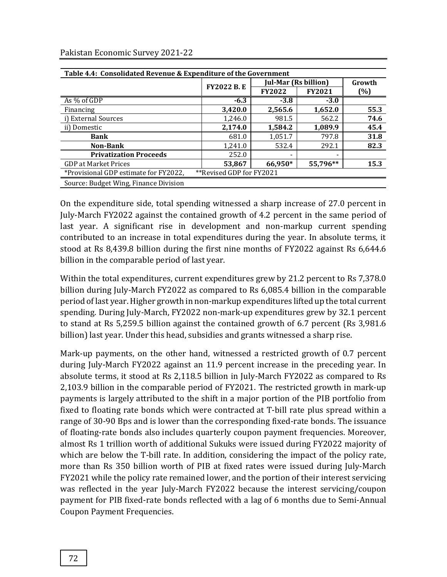| Table 4.4: Consolidated Revenue & Expenditure of the Government |                          |                             |               |      |  |  |  |  |
|-----------------------------------------------------------------|--------------------------|-----------------------------|---------------|------|--|--|--|--|
|                                                                 | <b>FY2022 B.E</b>        | <b>Jul-Mar (Rs billion)</b> | Growth        |      |  |  |  |  |
|                                                                 |                          | <b>FY2022</b>               | <b>FY2021</b> | (%)  |  |  |  |  |
| As % of GDP                                                     | $-6.3$                   | $-3.8$                      | $-3.0$        |      |  |  |  |  |
| Financing                                                       | 3,420.0                  | 2,565.6                     | 1,652.0       | 55.3 |  |  |  |  |
| i) External Sources                                             | 1,246.0                  | 981.5                       | 562.2         | 74.6 |  |  |  |  |
| ii) Domestic                                                    | 2,174.0                  | 1,584.2                     | 1,089.9       | 45.4 |  |  |  |  |
| <b>Bank</b>                                                     | 681.0                    | 1,051.7                     | 797.8         | 31.8 |  |  |  |  |
| <b>Non-Bank</b>                                                 | 1,241.0                  | 532.4                       | 292.1         | 82.3 |  |  |  |  |
| <b>Privatization Proceeds</b>                                   | 252.0                    | $\overline{\phantom{a}}$    | -             |      |  |  |  |  |
| <b>GDP</b> at Market Prices                                     | 53,867                   | 66,950*                     | 55,796**      | 15.3 |  |  |  |  |
| *Provisional GDP estimate for FY2022,                           | **Revised GDP for FY2021 |                             |               |      |  |  |  |  |
| Source: Budget Wing, Finance Division                           |                          |                             |               |      |  |  |  |  |

On the expenditure side, total spending witnessed a sharp increase of 27.0 percent in July-March FY2022 against the contained growth of 4.2 percent in the same period of last year. A significant rise in development and non-markup current spending contributed to an increase in total expenditures during the year. In absolute terms, it stood at Rs 8,439.8 billion during the first nine months of FY2022 against Rs 6,644.6 billion in the comparable period of last year.

Within the total expenditures, current expenditures grew by 21.2 percent to Rs 7,378.0 billion during July-March FY2022 as compared to Rs 6,085.4 billion in the comparable period of last year. Higher growth in non-markup expenditures lifted up the total current spending. During July-March, FY2022 non-mark-up expenditures grew by 32.1 percent to stand at Rs 5,259.5 billion against the contained growth of 6.7 percent (Rs 3,981.6 billion) last year. Under this head, subsidies and grants witnessed a sharp rise.

Mark-up payments, on the other hand, witnessed a restricted growth of 0.7 percent during July-March FY2022 against an 11.9 percent increase in the preceding year. In absolute terms, it stood at Rs 2,118.5 billion in July-March FY2022 as compared to Rs 2,103.9 billion in the comparable period of FY2021. The restricted growth in mark-up payments is largely attributed to the shift in a major portion of the PIB portfolio from fixed to floating rate bonds which were contracted at T-bill rate plus spread within a range of 30-90 Bps and is lower than the corresponding fixed-rate bonds. The issuance of floating-rate bonds also includes quarterly coupon payment frequencies. Moreover, almost Rs 1 trillion worth of additional Sukuks were issued during FY2022 majority of which are below the T-bill rate. In addition, considering the impact of the policy rate, more than Rs 350 billion worth of PIB at fixed rates were issued during July-March FY2021 while the policy rate remained lower, and the portion of their interest servicing was reflected in the year July-March FY2022 because the interest servicing/coupon payment for PIB fixed-rate bonds reflected with a lag of 6 months due to Semi-Annual Coupon Payment Frequencies.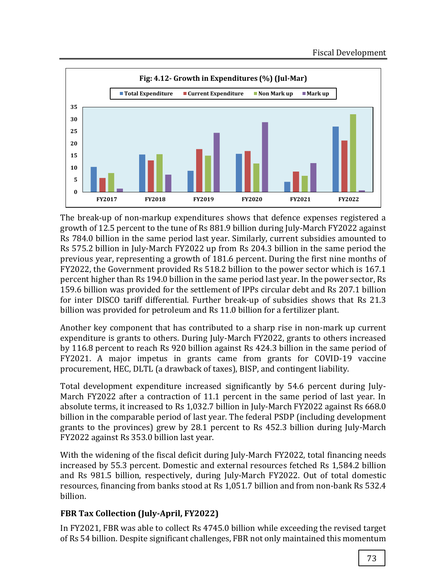

The break-up of non-markup expenditures shows that defence expenses registered a growth of 12.5 percent to the tune of Rs 881.9 billion during July-March FY2022 against Rs 784.0 billion in the same period last year. Similarly, current subsidies amounted to Rs 575.2 billion in July-March FY2022 up from Rs 204.3 billion in the same period the previous year, representing a growth of 181.6 percent. During the first nine months of FY2022, the Government provided Rs 518.2 billion to the power sector which is 167.1 percent higher than Rs 194.0 billion in the same period last year. In the power sector, Rs 159.6 billion was provided for the settlement of IPPs circular debt and Rs 207.1 billion for inter DISCO tariff differential. Further break-up of subsidies shows that Rs 21.3 billion was provided for petroleum and Rs 11.0 billion for a fertilizer plant.

Another key component that has contributed to a sharp rise in non-mark up current expenditure is grants to others. During July-March FY2022, grants to others increased by 116.8 percent to reach Rs 920 billion against Rs 424.3 billion in the same period of FY2021. A major impetus in grants came from grants for COVID-19 vaccine procurement, HEC, DLTL (a drawback of taxes), BISP, and contingent liability.

Total development expenditure increased significantly by 54.6 percent during July-March FY2022 after a contraction of 11.1 percent in the same period of last year. In absolute terms, it increased to Rs 1,032.7 billion in July-March FY2022 against Rs 668.0 billion in the comparable period of last year. The federal PSDP (including development grants to the provinces) grew by 28.1 percent to Rs 452.3 billion during July-March FY2022 against Rs 353.0 billion last year.

With the widening of the fiscal deficit during July-March FY2022, total financing needs increased by 55.3 percent. Domestic and external resources fetched Rs 1,584.2 billion and Rs 981.5 billion, respectively, during July-March FY2022. Out of total domestic resources, financing from banks stood at Rs 1,051.7 billion and from non-bank Rs 532.4 billion.

## **FBR Tax Collection (July-April, FY2022)**

In FY2021, FBR was able to collect Rs 4745.0 billion while exceeding the revised target of Rs 54 billion. Despite significant challenges, FBR not only maintained this momentum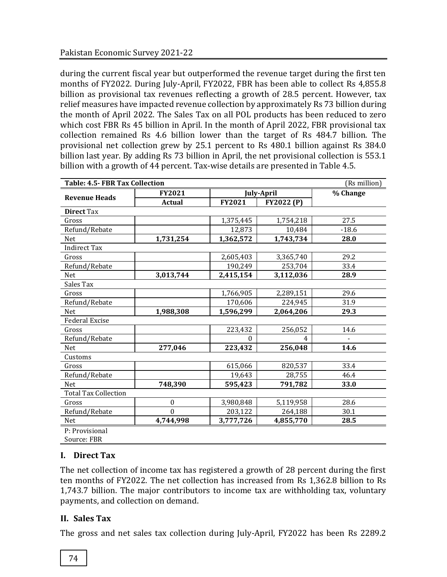during the current fiscal year but outperformed the revenue target during the first ten months of FY2022. During July-April, FY2022, FBR has been able to collect Rs 4,855.8 billion as provisional tax revenues reflecting a growth of 28.5 percent. However, tax relief measures have impacted revenue collection by approximately Rs 73 billion during the month of April 2022. The Sales Tax on all POL products has been reduced to zero which cost FBR Rs 45 billion in April. In the month of April 2022, FBR provisional tax collection remained Rs 4.6 billion lower than the target of Rs 484.7 billion. The provisional net collection grew by 25.1 percent to Rs 480.1 billion against Rs 384.0 billion last year. By adding Rs 73 billion in April, the net provisional collection is 553.1 billion with a growth of 44 percent. Tax-wise details are presented in Table 4.5.

| <b>Table: 4.5- FBR Tax Collection</b><br>(Rs million) |               |           |                   |         |  |  |  |
|-------------------------------------------------------|---------------|-----------|-------------------|---------|--|--|--|
|                                                       | <b>FY2021</b> |           | <b>July-April</b> |         |  |  |  |
| <b>Revenue Heads</b>                                  | <b>Actual</b> | FY2021    | <b>FY2022 (P)</b> |         |  |  |  |
| <b>Direct Tax</b>                                     |               |           |                   |         |  |  |  |
| Gross                                                 |               | 1,375,445 | 1,754,218         | 27.5    |  |  |  |
| Refund/Rebate                                         |               | 12,873    | 10,484            | $-18.6$ |  |  |  |
| <b>Net</b>                                            | 1,731,254     | 1,362,572 | 1,743,734         | 28.0    |  |  |  |
| <b>Indirect Tax</b>                                   |               |           |                   |         |  |  |  |
| Gross                                                 |               | 2,605,403 | 3,365,740         | 29.2    |  |  |  |
| Refund/Rebate                                         |               | 190,249   | 253,704           | 33.4    |  |  |  |
| Net                                                   | 3,013,744     | 2,415,154 | 3,112,036         | 28.9    |  |  |  |
| Sales Tax                                             |               |           |                   |         |  |  |  |
| Gross                                                 |               | 1,766,905 | 2,289,151         | 29.6    |  |  |  |
| Refund/Rebate                                         |               | 170,606   | 224,945           | 31.9    |  |  |  |
| Net                                                   | 1,988,308     | 1,596,299 | 2,064,206         | 29.3    |  |  |  |
| <b>Federal Excise</b>                                 |               |           |                   |         |  |  |  |
| Gross                                                 |               | 223,432   | 256,052           | 14.6    |  |  |  |
| Refund/Rebate                                         |               | 0         | 4                 |         |  |  |  |
| Net                                                   | 277,046       | 223,432   | 256,048           | 14.6    |  |  |  |
| Customs                                               |               |           |                   |         |  |  |  |
| Gross                                                 |               | 615,066   | 820,537           | 33.4    |  |  |  |
| Refund/Rebate                                         |               | 19,643    | 28,755            | 46.4    |  |  |  |
| <b>Net</b>                                            | 748,390       | 595,423   | 791,782           | 33.0    |  |  |  |
| <b>Total Tax Collection</b>                           |               |           |                   |         |  |  |  |
| Gross                                                 | $\mathbf{0}$  | 3,980,848 | 5,119,958         | 28.6    |  |  |  |
| Refund/Rebate                                         | $\mathbf{0}$  | 203,122   | 264,188           | 30.1    |  |  |  |
| <b>Net</b>                                            | 4,744,998     | 3,777,726 | 4,855,770         | 28.5    |  |  |  |
| P: Provisional                                        |               |           |                   |         |  |  |  |
| Source: FBR                                           |               |           |                   |         |  |  |  |

## **I. Direct Tax**

The net collection of income tax has registered a growth of 28 percent during the first ten months of FY2022. The net collection has increased from Rs 1,362.8 billion to Rs 1,743.7 billion. The major contributors to income tax are withholding tax, voluntary payments, and collection on demand.

## **II. Sales Tax**

The gross and net sales tax collection during July-April, FY2022 has been Rs 2289.2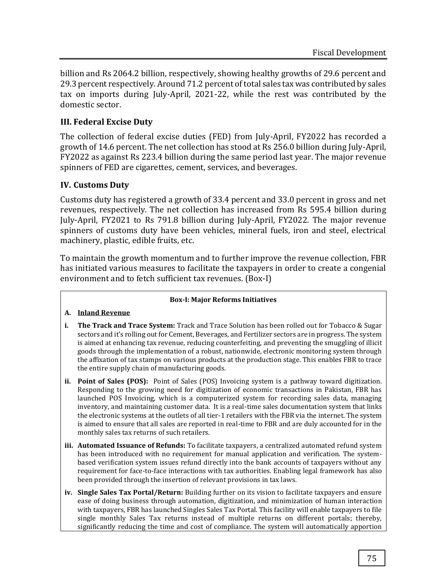billion and Rs 2064.2 billion, respectively, showing healthy growths of 29.6 percent and 29.3 percent respectively. Around 71.2 percent of total sales tax was contributed by sales tax on imports during July-April, 2021-22, while the rest was contributed by the domestic sector.

## **III. Federal Excise Duty**

The collection of federal excise duties (FED) from July-April, FY2022 has recorded a growth of 14.6 percent. The net collection has stood at Rs 256.0 billion during July-April, FY2022 as against Rs 223.4 billion during the same period last year. The major revenue spinners of FED are cigarettes, cement, services, and beverages.

## **IV. Customs Duty**

Customs duty has registered a growth of 33.4 percent and 33.0 percent in gross and net revenues, respectively. The net collection has increased from Rs 595.4 billion during July-April, FY2021 to Rs 791.8 billion during July-April, FY2022. The major revenue spinners of customs duty have been vehicles, mineral fuels, iron and steel, electrical machinery, plastic, edible fruits, etc.

To maintain the growth momentum and to further improve the revenue collection, FBR has initiated various measures to facilitate the taxpayers in order to create a congenial environment and to fetch sufficient tax revenues. (Box-I)

#### **Box-I: Major Reforms Initiatives**

#### **A. Inland Revenue**

- **i. The Track and Trace System:** Track and Trace Solution has been rolled out for Tobacco & Sugar sectors and it's rolling out for Cement, Beverages, and Fertilizer sectors are in progress. The system is aimed at enhancing tax revenue, reducing counterfeiting, and preventing the smuggling of illicit goods through the implementation of a robust, nationwide, electronic monitoring system through the affixation of tax stamps on various products at the production stage. This enables FBR to trace the entire supply chain of manufacturing goods.
- **ii. Point of Sales (POS):** Point of Sales (POS) Invoicing system is a pathway toward digitization. Responding to the growing need for digitization of economic transactions in Pakistan, FBR has launched POS Invoicing, which is a computerized system for recording sales data, managing inventory, and maintaining customer data. It is a real-time sales documentation system that links the electronic systems at the outlets of all tier-1 retailers with the FBR via the internet. The system is aimed to ensure that all sales are reported in real-time to FBR and are duly accounted for in the monthly sales tax returns of such retailers.
- **iii. Automated Issuance of Refunds:** To facilitate taxpayers, a centralized automated refund system has been introduced with no requirement for manual application and verification. The systembased verification system issues refund directly into the bank accounts of taxpayers without any requirement for face-to-face interactions with tax authorities. Enabling legal framework has also been provided through the insertion of relevant provisions in tax laws.
- **iv. Single Sales Tax Portal/Return:** Building further on its vision to facilitate taxpayers and ensure ease of doing business through automation, digitization, and minimization of human interaction with taxpayers, FBR has launched Singles Sales Tax Portal. This facility will enable taxpayers to file single monthly Sales Tax returns instead of multiple returns on different portals; thereby, significantly reducing the time and cost of compliance. The system will automatically apportion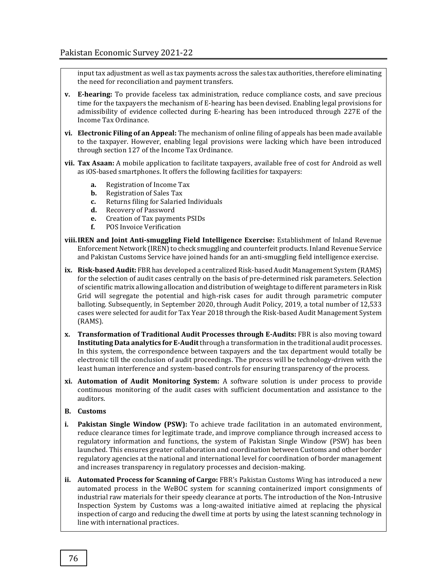input tax adjustment as well as tax payments across the sales tax authorities, therefore eliminating the need for reconciliation and payment transfers.

- **v. E-hearing:** To provide faceless tax administration, reduce compliance costs, and save precious time for the taxpayers the mechanism of E-hearing has been devised. Enabling legal provisions for admissibility of evidence collected during E-hearing has been introduced through 227E of the Income Tax Ordinance.
- **vi. Electronic Filing of an Appeal:** The mechanism of online filing of appeals has been made available to the taxpayer. However, enabling legal provisions were lacking which have been introduced through section 127 of the Income Tax Ordinance.
- **vii. Tax Asaan:** A mobile application to facilitate taxpayers, available free of cost for Android as well as iOS-based smartphones. It offers the following facilities for taxpayers:
	- **a.** Registration of Income Tax
	- **b.** Registration of Sales Tax
	- **c.** Returns filing for Salaried Individuals
	- **d.** Recovery of Password
	- **e.** Creation of Tax payments PSIDs
	- **f.** POS Invoice Verification
- **viii.IREN and Joint Anti-smuggling Field Intelligence Exercise:** Establishment of Inland Revenue Enforcement Network (IREN) to check smuggling and counterfeit products. Inland Revenue Service and Pakistan Customs Service have joined hands for an anti-smuggling field intelligence exercise.
- **ix. Risk-based Audit:** FBR has developed a centralized Risk-based Audit Management System (RAMS) for the selection of audit cases centrally on the basis of pre-determined risk parameters. Selection of scientific matrix allowing allocation and distribution of weightage to different parameters in Risk Grid will segregate the potential and high-risk cases for audit through parametric computer balloting. Subsequently, in September 2020, through Audit Policy, 2019, a total number of 12,533 cases were selected for audit for Tax Year 2018 through the Risk-based Audit Management System (RAMS).
- **x. Transformation of Traditional Audit Processes through E-Audits:** FBR is also moving toward **Instituting Data analytics for E-Audit** through a transformation in the traditional audit processes. In this system, the correspondence between taxpayers and the tax department would totally be electronic till the conclusion of audit proceedings. The process will be technology-driven with the least human interference and system-based controls for ensuring transparency of the process.
- **xi. Automation of Audit Monitoring System:** A software solution is under process to provide continuous monitoring of the audit cases with sufficient documentation and assistance to the auditors.

#### **B. Customs**

- **i. Pakistan Single Window (PSW):** To achieve trade facilitation in an automated environment, reduce clearance times for legitimate trade, and improve compliance through increased access to regulatory information and functions, the system of Pakistan Single Window (PSW) has been launched. This ensures greater collaboration and coordination between Customs and other border regulatory agencies at the national and international level for coordination of border management and increases transparency in regulatory processes and decision-making.
- **ii. Automated Process for Scanning of Cargo:** FBR's Pakistan Customs Wing has introduced a new automated process in the WeBOC system for scanning containerized import consignments of industrial raw materials for their speedy clearance at ports. The introduction of the Non-Intrusive Inspection System by Customs was a long-awaited initiative aimed at replacing the physical inspection of cargo and reducing the dwell time at ports by using the latest scanning technology in line with international practices.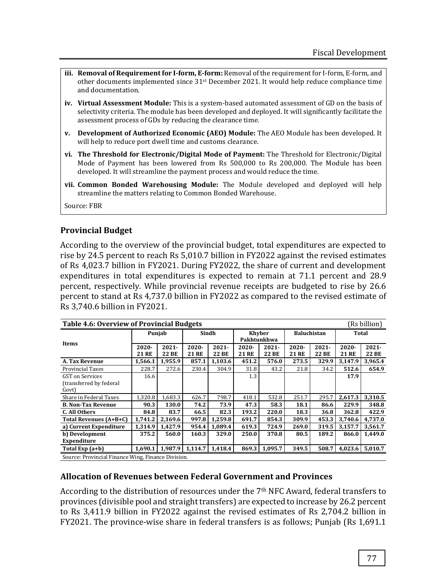- iii. **Removal of Requirement for I-form, E-form:** Removal of the requirement for I-form, E-form, and other documents implemented since 31st December 2021. It would help reduce compliance time and documentation.
- **iv. Virtual Assessment Module:** This is a system-based automated assessment of GD on the basis of selectivity criteria. The module has been developed and deployed. It will significantly facilitate the assessment process of GDs by reducing the clearance time.
- **v. Development of Authorized Economic (AEO) Module:** The AEO Module has been developed. It will help to reduce port dwell time and customs clearance.
- **vi. The Threshold for Electronic/Digital Mode of Payment:** The Threshold for Electronic/Digital Mode of Payment has been lowered from Rs 500,000 to Rs 200,000. The Module has been developed. It will streamline the payment process and would reduce the time.
- **vii. Common Bonded Warehousing Module:** The Module developed and deployed will help streamline the matters relating to Common Bonded Warehouse.

Source: FBR

#### **Provincial Budget**

According to the overview of the provincial budget, total expenditures are expected to rise by 24.5 percent to reach Rs 5,010.7 billion in FY2022 against the revised estimates of Rs 4,023.7 billion in FY2021. During FY2022, the share of current and development expenditures in total expenditures is expected to remain at 71.1 percent and 28.9 percent, respectively. While provincial revenue receipts are budgeted to rise by 26.6 percent to stand at Rs 4,737.0 billion in FY2022 as compared to the revised estimate of Rs 3,740.6 billion in FY2021.

| <b>Table 4.6: Overview of Provincial Budgets</b><br>(Rs billion) |                                                    |                          |                          |                   |                              |                          |                    |                   |                          |                   |
|------------------------------------------------------------------|----------------------------------------------------|--------------------------|--------------------------|-------------------|------------------------------|--------------------------|--------------------|-------------------|--------------------------|-------------------|
| Items                                                            | Punjab                                             |                          | Sindh                    |                   | <b>Khyber</b><br>Pakhtunkhwa |                          | <b>Baluchistan</b> |                   | <b>Total</b>             |                   |
|                                                                  | $2020 -$<br><b>21 RE</b>                           | $2021 -$<br><b>22 BE</b> | $2020 -$<br><b>21 RE</b> | $2021 -$<br>22 BE | $2020 -$<br><b>21 RE</b>     | $2021 -$<br><b>22 BE</b> | $2020 -$<br>21 RE  | $2021 -$<br>22 BE | $2020 -$<br><b>21 RE</b> | $2021 -$<br>22 BE |
| A. Tax Revenue                                                   | 1,566.1                                            | 1,955.9                  | 857.1                    | 1,103.6           | 451.2                        | 576.0                    | 273.5              | 329.9             | 3,147.9                  | 3,965.4           |
| <b>Provincial Taxes</b>                                          | 228.7                                              | 272.6                    | 230.4                    | 304.9             | 31.8                         | 43.2                     | 21.8               | 34.2              | 512.6                    | 654.9             |
| GST on Services<br>(transferred by federal<br>Govt)              | 16.6                                               |                          |                          |                   | 1.3                          |                          |                    |                   | 17.9                     |                   |
| Share in Federal Taxes                                           | 1.320.8                                            | 1.683.3                  | 626.7                    | 798.7             | 418.1                        | 532.8                    | 251.7              | 295.7             | 2.617.3                  | 3,310.5           |
| <b>B. Non-Tax Revenue</b>                                        | 90.3                                               | 130.0                    | 74.2                     | 73.9              | 47.3                         | 58.3                     | 18.1               | 86.6              | 229.9                    | 348.8             |
| C. All Others                                                    | 84.8                                               | 83.7                     | 66.5                     | 82.3              | 193.2                        | 220.0                    | 18.3               | 36.8              | 362.8                    | 422.9             |
| Total Revenues (A+B+C)                                           | 1,741.2                                            | 2.169.6                  | 997.8                    | 1.259.8           | 691.7                        | 854.3                    | 309.9              | 453.3             | 3.740.6                  | 4.737.0           |
| a) Current Expenditure                                           | 1,314.9                                            | 1,427.9                  | 954.4                    | 1.089.4           | 619.3                        | 724.9                    | 269.0              | 319.5             | 3,157.7                  | 3,561.7           |
| b) Development                                                   | 375.2                                              | 560.0                    | 160.3                    | 329.0             | 250.0                        | 370.8                    | 80.5               | 189.2             | 866.0                    | 1.449.0           |
| <b>Expenditure</b>                                               |                                                    |                          |                          |                   |                              |                          |                    |                   |                          |                   |
| Total Exp $(a+b)$                                                | 1.690.1                                            | 1.987.9                  | 1,114.7                  | 1,418.4           | 869.3                        | 1,095.7                  | 349.5              | 508.7             | 4,023.6                  | 5,010.7           |
|                                                                  | Source: Provincial Finance Wing, Finance Division. |                          |                          |                   |                              |                          |                    |                   |                          |                   |

#### **Allocation of Revenues between Federal Government and Provinces**

According to the distribution of resources under the 7th NFC Award, federal transfers to provinces (divisible pool and straight transfers) are expected to increase by 26.2 percent to Rs 3,411.9 billion in FY2022 against the revised estimates of Rs 2,704.2 billion in FY2021. The province-wise share in federal transfers is as follows; Punjab (Rs 1,691.1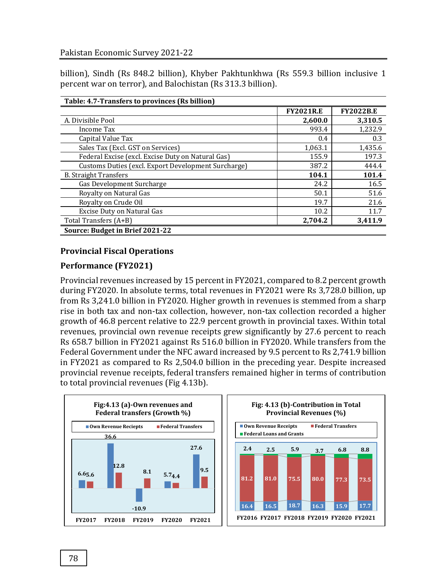billion), Sindh (Rs 848.2 billion), Khyber Pakhtunkhwa (Rs 559.3 billion inclusive 1 percent war on terror), and Balochistan (Rs 313.3 billion).

| Table: 4.7-Transfers to provinces (Rs billion)      |                  |                  |  |  |  |  |  |  |
|-----------------------------------------------------|------------------|------------------|--|--|--|--|--|--|
|                                                     | <b>FY2021R.E</b> | <b>FY2022B.E</b> |  |  |  |  |  |  |
| A. Divisible Pool                                   | 2,600.0          | 3,310.5          |  |  |  |  |  |  |
| Income Tax                                          | 993.4            | 1,232.9          |  |  |  |  |  |  |
| Capital Value Tax                                   | 0.4              | 0.3              |  |  |  |  |  |  |
| Sales Tax (Excl. GST on Services)                   | 1,063.1          | 1,435.6          |  |  |  |  |  |  |
| Federal Excise (excl. Excise Duty on Natural Gas)   | 155.9            | 197.3            |  |  |  |  |  |  |
| Customs Duties (excl. Export Development Surcharge) | 387.2            | 444.4            |  |  |  |  |  |  |
| <b>B.</b> Straight Transfers                        | 104.1            | 101.4            |  |  |  |  |  |  |
| Gas Development Surcharge                           | 24.2             | 16.5             |  |  |  |  |  |  |
| Royalty on Natural Gas                              | 50.1             | 51.6             |  |  |  |  |  |  |
| Royalty on Crude Oil                                | 19.7             | 21.6             |  |  |  |  |  |  |
| Excise Duty on Natural Gas                          | 10.2             | 11.7             |  |  |  |  |  |  |
| Total Transfers (A+B)                               | 2,704.2          | 3,411.9          |  |  |  |  |  |  |
| Source: Budget in Brief 2021-22                     |                  |                  |  |  |  |  |  |  |

## **Provincial Fiscal Operations**

## **Performance (FY2021)**

Provincial revenues increased by 15 percent in FY2021, compared to 8.2 percent growth during FY2020. In absolute terms, total revenues in FY2021 were Rs 3,728.0 billion, up from Rs 3,241.0 billion in FY2020. Higher growth in revenues is stemmed from a sharp rise in both tax and non-tax collection, however, non-tax collection recorded a higher growth of 46.8 percent relative to 22.9 percent growth in provincial taxes. Within total revenues, provincial own revenue receipts grew significantly by 27.6 percent to reach Rs 658.7 billion in FY2021 against Rs 516.0 billion in FY2020. While transfers from the Federal Government under the NFC award increased by 9.5 percent to Rs 2,741.9 billion in FY2021 as compared to Rs 2,504.0 billion in the preceding year. Despite increased provincial revenue receipts, federal transfers remained higher in terms of contribution to total provincial revenues (Fig 4.13b).

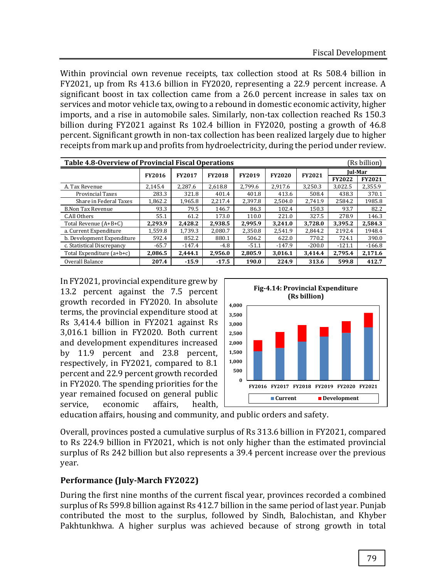Within provincial own revenue receipts, tax collection stood at Rs 508.4 billion in FY2021, up from Rs 413.6 billion in FY2020, representing a 22.9 percent increase. A significant boost in tax collection came from a 26.0 percent increase in sales tax on services and motor vehicle tax, owing to a rebound in domestic economic activity, higher imports, and a rise in automobile sales. Similarly, non-tax collection reached Rs 150.3 billion during FY2021 against Rs 102.4 billion in FY2020, posting a growth of 46.8 percent. Significant growth in non-tax collection has been realized largely due to higher receipts from mark up and profits from hydroelectricity, during the period under review.

| (Rs billion)<br>Table 4.8-Overview of Provincial Fiscal Operations |               |               |               |               |               |               |               |                |  |
|--------------------------------------------------------------------|---------------|---------------|---------------|---------------|---------------|---------------|---------------|----------------|--|
|                                                                    | <b>FY2016</b> | <b>FY2017</b> | <b>FY2018</b> | <b>FY2019</b> | <b>FY2020</b> | <b>FY2021</b> |               | <b>Iul-Mar</b> |  |
|                                                                    |               |               |               |               |               |               | <b>FY2022</b> | <b>FY2021</b>  |  |
| A. Tax Revenue                                                     | 2.145.4       | 2.287.6       | 2,618.8       | 2.799.6       | 2.917.6       | 3.250.3       | 3.022.5       | 2.355.9        |  |
| <b>Provincial Taxes</b>                                            | 283.3         | 321.8         | 401.4         | 401.8         | 413.6         | 508.4         | 438.3         | 370.1          |  |
| Share in Federal Taxes                                             | 1,862.2       | 1,965.8       | 2.217.4       | 2.397.8       | 2.504.0       | 2.741.9       | 2584.2        | 1985.8         |  |
| <b>B.Non Tax Revenue</b>                                           | 93.3          | 79.5          | 146.7         | 86.3          | 102.4         | 150.3         | 93.7          | 82.2           |  |
| C.All Others                                                       | 55.1          | 61.2          | 173.0         | 110.0         | 221.0         | 327.5         | 278.9         | 146.3          |  |
| Total Revenue (A+B+C)                                              | 2.293.9       | 2.428.2       | 2.938.5       | 2.995.9       | 3.241.0       | 3.728.0       | 3.395.2       | 2.584.3        |  |
| a. Current Expenditure                                             | 1.559.8       | 1.739.3       | 2.080.7       | 2.350.8       | 2.541.9       | 2.844.2       | 2192.4        | 1948.4         |  |
| b. Development Expenditure                                         | 592.4         | 852.2         | 880.1         | 506.2         | 622.0         | 770.2         | 724.1         | 390.0          |  |
| c. Statistical Discrepancy                                         | $-65.7$       | $-147.4$      | $-4.8$        | $-51.1$       | $-147.9$      | $-200.0$      | $-121.1$      | $-166.8$       |  |
| Total Expenditure (a+b+c)                                          | 2,086.5       | 2,444.1       | 2,956.0       | 2.805.9       | 3,016.1       | 3,414.4       | 2,795.4       | 2,171.6        |  |
| Overall Balance                                                    | 207.4         | $-15.9$       | $-17.5$       | 190.0         | 224.9         | 313.6         | 599.8         | 412.7          |  |

In FY2021, provincial expenditure grew by 13.2 percent against the 7.5 percent growth recorded in FY2020. In absolute terms, the provincial expenditure stood at Rs 3,414.4 billion in FY2021 against Rs 3,016.1 billion in FY2020. Both current and development expenditures increased by 11.9 percent and 23.8 percent, respectively, in FY2021, compared to 8.1 percent and 22.9 percent growth recorded in FY2020. The spending priorities for the year remained focused on general public service, economic affairs, health,



education affairs, housing and community, and public orders and safety.

Overall, provinces posted a cumulative surplus of Rs 313.6 billion in FY2021, compared to Rs 224.9 billion in FY2021, which is not only higher than the estimated provincial surplus of Rs 242 billion but also represents a 39.4 percent increase over the previous year.

#### **Performance (July-March FY2022)**

During the first nine months of the current fiscal year, provinces recorded a combined surplus of Rs 599.8 billion against Rs 412.7 billion in the same period of last year. Punjab contributed the most to the surplus, followed by Sindh, Balochistan, and Khyber Pakhtunkhwa. A higher surplus was achieved because of strong growth in total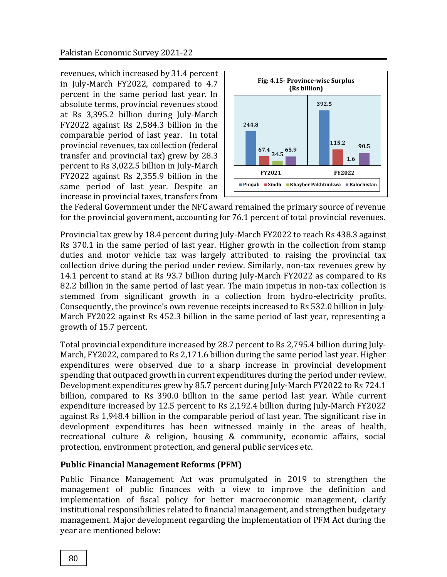revenues, which increased by 31.4 percent in July-March FY2022, compared to 4.7 percent in the same period last year. In absolute terms, provincial revenues stood at Rs 3,395.2 billion during July-March FY2022 against Rs 2,584.3 billion in the comparable period of last year. In total provincial revenues, tax collection (federal transfer and provincial tax) grew by 28.3 percent to Rs 3,022.5 billion in July-March FY2022 against Rs 2,355.9 billion in the same period of last year. Despite an increase in provincial taxes, transfers from



the Federal Government under the NFC award remained the primary source of revenue for the provincial government, accounting for 76.1 percent of total provincial revenues.

Provincial tax grew by 18.4 percent during July-March FY2022 to reach Rs 438.3 against Rs 370.1 in the same period of last year. Higher growth in the collection from stamp duties and motor vehicle tax was largely attributed to raising the provincial tax collection drive during the period under review. Similarly, non-tax revenues grew by 14.1 percent to stand at Rs 93.7 billion during July-March FY2022 as compared to Rs 82.2 billion in the same period of last year. The main impetus in non-tax collection is stemmed from significant growth in a collection from hydro-electricity profits. Consequently, the province's own revenue receipts increased to Rs 532.0 billion in July-March FY2022 against Rs 452.3 billion in the same period of last year, representing a growth of 15.7 percent.

Total provincial expenditure increased by 28.7 percent to Rs 2,795.4 billion during July-March, FY2022, compared to Rs 2,171.6 billion during the same period last year. Higher expenditures were observed due to a sharp increase in provincial development spending that outpaced growth in current expenditures during the period under review. Development expenditures grew by 85.7 percent during July-March FY2022 to Rs 724.1 billion, compared to Rs 390.0 billion in the same period last year. While current expenditure increased by 12.5 percent to Rs 2,192.4 billion during July-March FY2022 against Rs 1,948.4 billion in the comparable period of last year. The significant rise in development expenditures has been witnessed mainly in the areas of health, recreational culture & religion, housing & community, economic affairs, social protection, environment protection, and general public services etc.

## **Public Financial Management Reforms (PFM)**

Public Finance Management Act was promulgated in 2019 to strengthen the management of public finances with a view to improve the definition and implementation of fiscal policy for better macroeconomic management, clarify institutional responsibilities related to financial management, and strengthen budgetary management. Major development regarding the implementation of PFM Act during the year are mentioned below: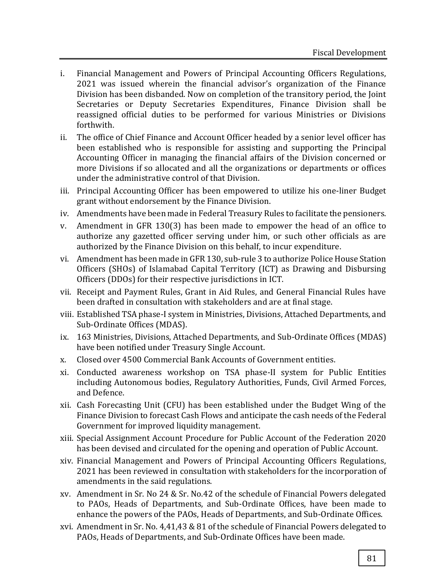- i. Financial Management and Powers of Principal Accounting Officers Regulations, 2021 was issued wherein the financial advisor's organization of the Finance Division has been disbanded. Now on completion of the transitory period, the Joint Secretaries or Deputy Secretaries Expenditures, Finance Division shall be reassigned official duties to be performed for various Ministries or Divisions forthwith.
- ii. The office of Chief Finance and Account Officer headed by a senior level officer has been established who is responsible for assisting and supporting the Principal Accounting Officer in managing the financial affairs of the Division concerned or more Divisions if so allocated and all the organizations or departments or offices under the administrative control of that Division.
- iii. Principal Accounting Officer has been empowered to utilize his one-liner Budget grant without endorsement by the Finance Division.
- iv. Amendments have been made in Federal Treasury Rules to facilitate the pensioners.
- v. Amendment in GFR 130(3) has been made to empower the head of an office to authorize any gazetted officer serving under him, or such other officials as are authorized by the Finance Division on this behalf, to incur expenditure.
- vi. Amendment has been made in GFR 130, sub-rule 3 to authorize Police House Station Officers (SHOs) of Islamabad Capital Territory (ICT) as Drawing and Disbursing Officers (DDOs) for their respective jurisdictions in ICT.
- vii. Receipt and Payment Rules, Grant in Aid Rules, and General Financial Rules have been drafted in consultation with stakeholders and are at final stage.
- viii. Established TSA phase-I system in Ministries, Divisions, Attached Departments, and Sub-Ordinate Offices (MDAS).
- ix. 163 Ministries, Divisions, Attached Departments, and Sub-Ordinate Offices (MDAS) have been notified under Treasury Single Account.
- x. Closed over 4500 Commercial Bank Accounts of Government entities.
- xi. Conducted awareness workshop on TSA phase-II system for Public Entities including Autonomous bodies, Regulatory Authorities, Funds, Civil Armed Forces, and Defence.
- xii. Cash Forecasting Unit (CFU) has been established under the Budget Wing of the Finance Division to forecast Cash Flows and anticipate the cash needs of the Federal Government for improved liquidity management.
- xiii. Special Assignment Account Procedure for Public Account of the Federation 2020 has been devised and circulated for the opening and operation of Public Account.
- xiv. Financial Management and Powers of Principal Accounting Officers Regulations, 2021 has been reviewed in consultation with stakeholders for the incorporation of amendments in the said regulations.
- xv. Amendment in Sr. No 24 & Sr. No.42 of the schedule of Financial Powers delegated to PAOs, Heads of Departments, and Sub-Ordinate Offices, have been made to enhance the powers of the PAOs, Heads of Departments, and Sub-Ordinate Offices.
- xvi. Amendment in Sr. No. 4,41,43 & 81 of the schedule of Financial Powers delegated to PAOs, Heads of Departments, and Sub-Ordinate Offices have been made.